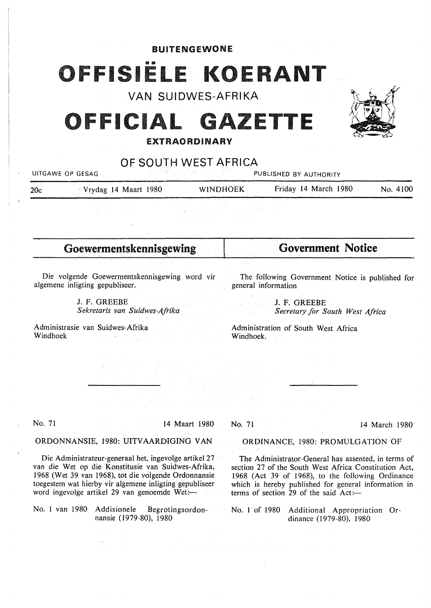BUITENGEWONE

# FFISIËLE KOERANT

# VAN SUIDWES-AFRIKA<br>CLAI CAZETTE XXX ICIAL GAZETTE





# OF SOUTH WEST AFRICA

UITGAWE OP GESAG PUBLISHED BY AUTHORITY 20c Vrydag 14 Maart 1980 **WINDHOEK** Friday 14 March 1980 No. 4100

ina<br>Separang Silah Kecamatan<br>Separang Malaysia Malaysia

Goewermentskennisgewing **Government Notice**  Die volgende Goewermentskennisgewing word vir The following Government Notice is published for algemene inligting gepubliseer. general information in Bay J. F. GREEBE J. F. GREEBE *Sekretaris van Suidwes-Afrika Secretary for South West Africa*  Administrasie van Suidwes-Afrika Administration of South West Africa Windhoek Windhoek. ing<br>Santa Congress (1980)<br>Santa Cara Santa Cong agreement with surplug in No. 71 14 Maart 1980 No. 71 14 March 1980 ORDONNANSIE, 1980: UITVAARDIGING VAN ORDINANCE, 1980: PROMULGATION OF Die Administrateur-generaal het, ingevolge artikel 27 The Administrator-General has assented, in terms of van die Wet op die Konstitusie van Suidwes-Afrika, section 27 of the South West Africa Constitution Act, l 968 (Wet 39 van 1968), tot die volgende Ordonnansie 1968 (Act 39 of 1968), to the following Ordinance toegestem wat hierby vir algemene inligting gepubliseer which is hereby published for general information in word ingevolge artikel 29 van genoemde Wet: $$ terms of section 29 of the said  $Act$ : No. l van 1980 Addisionele Begrotingsordon-No. I of 1980 Additional Appropriation Ornansie ( 1979-80), 1980 dinance (1979-80), 1980  $\label{eq:4} \frac{d\chi}{d\chi} = \frac{1}{\chi} \left( \frac{d\chi}{d\chi} \right) \left( \frac{d\chi}{d\chi} \right) \left( \frac{d\chi}{d\chi} \right) \left( \frac{d\chi}{d\chi} \right) \, .$ 

 $\label{eq:2.1} \frac{1}{\sqrt{2}}\left(\frac{1}{\sqrt{2}}\right)^{2}=\frac{1}{2}\left(\frac{1}{2}\left(\frac{1}{2}\right)^{2}+\frac{1}{2}\left(\frac{1}{2}\right)^{2}+\frac{1}{2}\left(\frac{1}{2}\right)^{2}+\frac{1}{2}\left(\frac{1}{2}\right)^{2}+\frac{1}{2}\left(\frac{1}{2}\right)^{2}+\frac{1}{2}\left(\frac{1}{2}\right)^{2}+\frac{1}{2}\left(\frac{1}{2}\right)^{2}+\frac{1}{2}\left(\frac{1}{2}\right)^{2}+\frac{1}{2}\left(\frac{1}{2}\$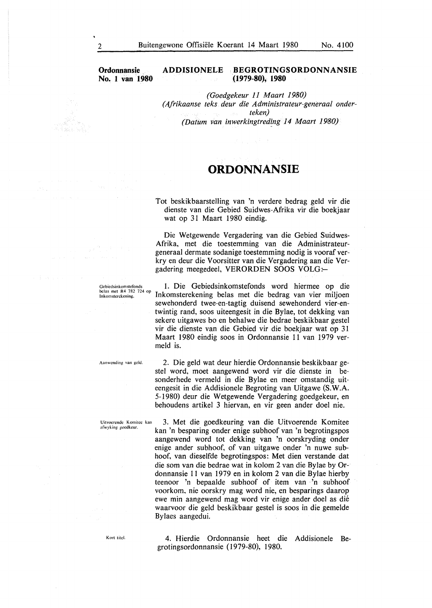#### **Ordonnansie** . **No. l van 1980**

#### **ADDISIONELE · BEGROTINGSORDONNANSIE (1979-80), 1980**

*(Goedgekeur 11 Maart 1980) (Afrikaanse teks. deur die Administrateur-generaal onderteken) (Datum van inwerkingtred{ng 14 Maart 1980)* 

## **ORDONNANSIE**

Tot beskikbaarstelling van 'n verdere bedrag geld vir die dienste van die Gebied Suidwes-Afrika vir die boekjaar wat op 31 Maart 1980 eindig.

Die Wetgewende Vergadering van die Gebied Suidwes-Afrika, met die toestemming van die Administrateurgeneraal dermate sodanige toestemming nodig is vooraf verkry en deur die Voorsitter van die Vergadering aan die Vergadering meegedeel, VERORDEN SOOS VOLG:-

1. Die Gebiedsinkomstefonds word hiermee op die Inkomsterekening belas met die bedrag van vier miljoen sewehonderd twee-en-tagtig duisend sewehonderd vier-entwintig rand, soos uiteengesit in die Bylae, tot dekking van sekere uitgawes bo en behalwe die bedrae beskikbaar gestel vir die dienste van die Gebied vir die boekjaar wat op 31 Maart 1980 eindig soos in Ordonnansie 11 van 1979 vermeld is.

**Aanwcnding van geld.** 

Gebicdsinkomstefonds bclas met R4 782 724 op **lnkomstcrckcning.** 

**Uitvocrcndc Komitcc kan :1fwyking gocdkcur.** 

2. Die geld wat deur hierdie Ordonnansie beskikbaar gestel word, moet aangewend word vir die dienste in besonderhede vermeld in die Bylae en meer omstandig uiteengesit in die Addisionele Begroting van Uitgawe **(S.W.A.**  5-1980) deur die Wetgewende Vergadering goedgekeur, en behoudens artikel 3 hiervan, en vir geen ander doel nie.

3. Met die goedkeuring van die Uitvoerende Komitee kan 'n besparing ender enige subhoof van 'n begrotingspos aangewend word tot dekking van 'n oorskryding onder enige ander subhoof, of van uitgawe ender 'n nuwe subhoof, van dieselfde begrotingspos: Met dien verstande dat die som van die bedrae wat in kolom 2 van die Bylae by Ordonnansie 11 van 1979 en in kolom 2 van die Bylae hierby teenoor 'n bepaalde subhoof of item van 'n subhoof voorkom, nie oorskry mag word nie, en besparings daarop ewe min aangewend mag word vir enige ander doel as die waarvoor die geld beskikbaar gestel is soos in die gemelde Bylaes aangedui.

Kort titel.

4. Hierdie Ordonnansie heet die Addisionele Begrotingsordonnansie ( 1979-80), 1980.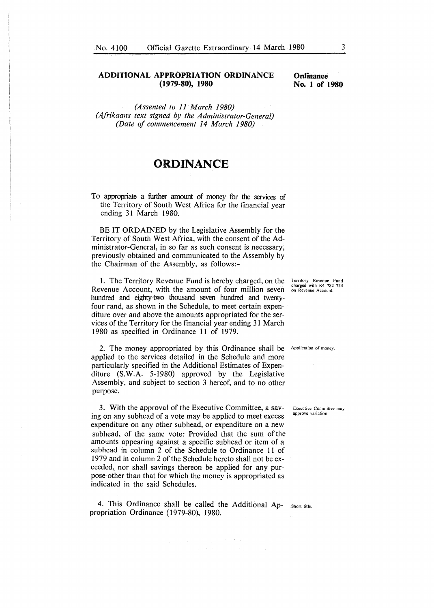#### **ADDITIONAL APPROPRIATION ORDINANCE (1979-80), 1980**

*(Assented to 11 March 1980) (Afrikaans text signed by the Administrator-General) (Date of commencement 14 March 1980)* 

# **ORDINANCE**

To appropriate a further amount of money for the services of the Territory of South West Africa for the financial year ending 31 March 1980.

BE IT **ORDAINED** by the Legislative Assembly for the Territory of South West Africa, with the consent of the Administrator-General, in so far as such consent is necessary, previously obtained and communicated to the Assembly by the Chairman of the Assembly, as follows:-

1. The Territory Revenue Fund is hereby charged, on the Revenue Account, with the amount of four million seven hundred and eighty-two thousand seven hundred and twentyfour rand, as shown in the Schedule, to meet certain expenditure over and above the amounts appropriated for the services of the Territory for the financial year ending 31 March 1980 as specified in Ordinance 11 of 1979.

2. The money appropriated by this Ordinance shall be **Application of money.**  applied to the services detailed in the Schedule and more particularly specified in the Additional Estimates of Expenditure **(S.W.A.** 5-1980) approved by the Legislative Assembly, and subject to section 3 hereof, and to no other purpose.

3. With the approval of the Executive Committee, a saving on any subhead of a vote may be applied to meet excess expenditure on any other subhead, or expenditure on a new subhead, of the same vote: Provided that the sum of the amounts appearing against a specific subhead or item of a subhead in column 2 of the Schedule to Ordinance 11 of 1979 and in column 2 of the Schedule hereto shall not be exceeded, nor shall savings thereon be applied for any purpose other than that for which the money is appropriated as indicated in the said Schedules.

4. This Ordinance shall be called the Additional Ap- Short title. propriation Ordinance (1979-80), 1980.

 $\label{eq:2.1} \begin{split} \mathcal{L}_{\text{max}}(\mathbf{a},\mathbf{a},\mathbf{b}) = \mathcal{L}_{\text{max}}(\mathbf{a},\mathbf{b}) + \mathcal{L}_{\text{max}}(\mathbf{a},\mathbf{b}) = \mathcal{L}_{\text{max}}(\mathbf{a},\mathbf{b}) \\ \mathcal{L}_{\text{max}}(\mathbf{a},\mathbf{b},\mathbf{b}) = \mathcal{L}_{\text{max}}(\mathbf{a},\mathbf{b}) = \mathcal{L}_{\text{max}}(\mathbf{a},\mathbf{b}) \end{split}$ 

**Territory Revenue Fund**  charged with R4 782 724 **on Revenue Account.** 

**Executive Committee may approve variation.**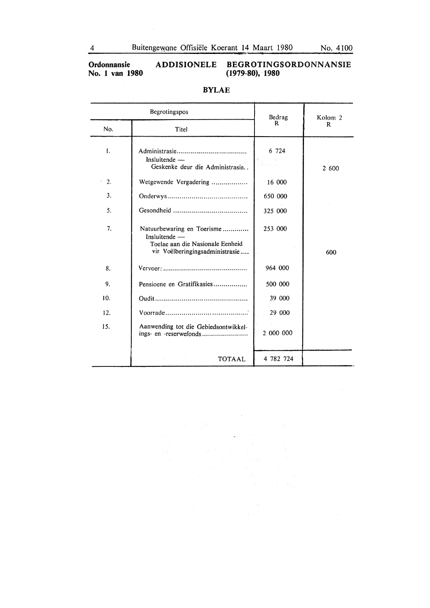**Ordonnansie No. 1 van 1980** 

 $\mathcal{L}_{\text{eff}}$ 

### **ADDISIONELE BEGROTINGSORDONNANSIE (1979-80), 1980**

| Begrotingspos  |                                                                                                                    | Bedrag                                                                                               | Kolom 2 |
|----------------|--------------------------------------------------------------------------------------------------------------------|------------------------------------------------------------------------------------------------------|---------|
| No.            | Titel                                                                                                              | R                                                                                                    | R.      |
| $\mathbf{1}$ . | $Insluitende$ —<br>Geskenke deur die Administrasie                                                                 | 6 724<br>$\sum_{\substack{ \lambda \in \mathcal{A} \\ \lambda \in \mathcal{A}}} \mathcal{R}^{(k+1)}$ | 2 600   |
| 2.             | Wetgewende Vergadering                                                                                             | 16 000                                                                                               |         |
| 3.             |                                                                                                                    | 650 000                                                                                              |         |
| 5.             |                                                                                                                    | 325 000                                                                                              |         |
| 7.             | Natuurbewaring en Toerisme<br>Insluitende -<br>Toelae aan die Nasionale Eenheid<br>vir Voëlberingingsadministrasie | $-253000$                                                                                            | 600     |
| 8.             |                                                                                                                    | 964 000                                                                                              |         |
| 9.             | Pensioene en Gratifikasies                                                                                         | 500 000                                                                                              |         |
| 10.            |                                                                                                                    | 39 000                                                                                               |         |
| 12.            |                                                                                                                    | 29 000                                                                                               |         |
| 15.            | Aanwending tot die Gebiedsontwikkel-<br>ings- en -reserwefonds                                                     | 2 000 000                                                                                            |         |
|                | <b>TOTAAL</b>                                                                                                      | 4 782 724                                                                                            |         |

 $\label{eq:2.1} \frac{1}{\sqrt{2}}\left(\frac{1}{\sqrt{2}}\right)^{2} \left(\frac{1}{\sqrt{2}}\right)^{2} \left(\frac{1}{\sqrt{2}}\right)^{2} \left(\frac{1}{\sqrt{2}}\right)^{2} \left(\frac{1}{\sqrt{2}}\right)^{2} \left(\frac{1}{\sqrt{2}}\right)^{2} \left(\frac{1}{\sqrt{2}}\right)^{2} \left(\frac{1}{\sqrt{2}}\right)^{2} \left(\frac{1}{\sqrt{2}}\right)^{2} \left(\frac{1}{\sqrt{2}}\right)^{2} \left(\frac{1}{\sqrt{2}}\right)^{2} \left(\$ 

### **BYLAE**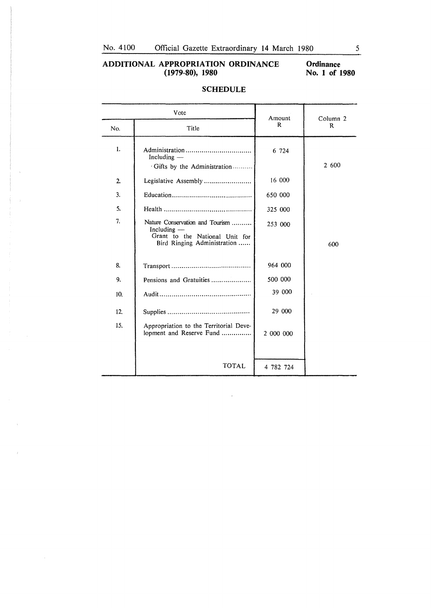### **ADDITIONAL APPROPRIATION ORDINANCE (1979-80), 1980**

**Ordinance No. 1 of 1980** 

| Vote           |                                                                                                                   | Amount    | Column <sub>2</sub> |
|----------------|-------------------------------------------------------------------------------------------------------------------|-----------|---------------------|
| No.            | Title                                                                                                             | R         | R                   |
| 1.             | Including $-$<br>Gifts by the Administration                                                                      | 6 724     | 2 600               |
| $\overline{2}$ | Legislative Assembly                                                                                              | 16 000    |                     |
| 3.             |                                                                                                                   | 650 000   |                     |
| 5.             |                                                                                                                   | 325 000   |                     |
| 7.             | Nature Conservation and Tourism<br>Including $-$<br>Grant to the National Unit for<br>Bird Ringing Administration | 253 000   | 600                 |
| 8.             |                                                                                                                   | 964 000   |                     |
| 9.             | Pensions and Gratuities                                                                                           | 500 000   |                     |
| 10.            |                                                                                                                   | 39 000    |                     |
| 12.            |                                                                                                                   | 29 000    |                     |
| 15.            | Appropriation to the Territorial Deve-<br>lopment and Reserve Fund                                                | 2 000 000 |                     |
|                | <b>TOTAL</b>                                                                                                      | 4 782 724 |                     |

 $\ddot{\phantom{a}}$ 

 $\mathcal{A}^{\mathcal{A}}$ 

### **SCHEDULE**